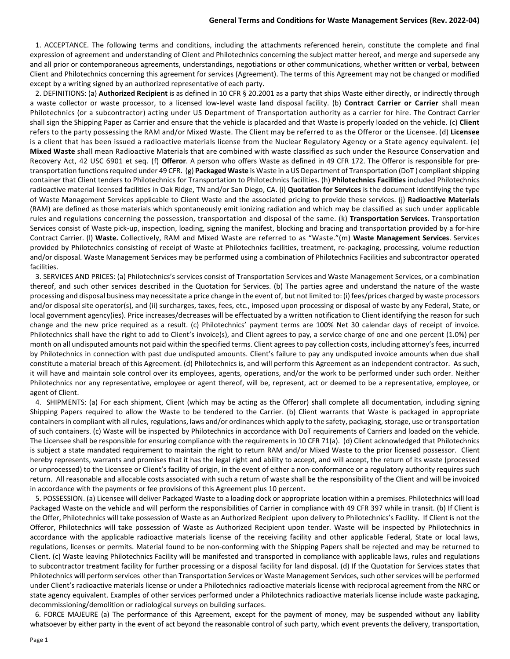## **General Terms and Conditions for Waste Management Services (Rev. 2022-04)**

 1. ACCEPTANCE. The following terms and conditions, including the attachments referenced herein, constitute the complete and final expression of agreement and understanding of Client and Philotechnics concerning the subject matter hereof, and merge and supersede any and all prior or contemporaneous agreements, understandings, negotiations or other communications, whether written or verbal, between Client and Philotechnics concerning this agreement for services (Agreement). The terms of this Agreement may not be changed or modified except by a writing signed by an authorized representative of each party.

 2. DEFINITIONS: (a) **Authorized Recipient** is as defined in 10 CFR § 20.2001 as a party that ships Waste either directly, or indirectly through a waste collector or waste processor, to a licensed low-level waste land disposal facility. (b) **Contract Carrier or Carrier** shall mean Philotechnics (or a subcontractor) acting under US Department of Transportation authority as a carrier for hire. The Contract Carrier shall sign the Shipping Paper as Carrier and ensure that the vehicle is placarded and that Waste is properly loaded on the vehicle. (c) **Client**  refers to the party possessing the RAM and/or Mixed Waste. The Client may be referred to as the Offeror or the Licensee. (d) **Licensee**  is a client that has been issued a radioactive materials license from the Nuclear Regulatory Agency or a State agency equivalent. (e) **Mixed Waste** shall mean Radioactive Materials that are combined with waste classified as such under the Resource Conservation and Recovery Act, 42 USC 6901 et seq. (f) **Offeror**. A person who offers Waste as defined in 49 CFR 172. The Offeror is responsible for pretransportation functions required under 49 CFR. (g) **Packaged Waste** is Waste in a US Department of Transportation (DoT ) compliant shipping container that Client tenders to Philotechnics for Transportation to Philotechnics facilities. (h) **Philotechnics Facilities** included Philotechnics radioactive material licensed facilities in Oak Ridge, TN and/or San Diego, CA. (i) **Quotation for Services** is the document identifying the type of Waste Management Services applicable to Client Waste and the associated pricing to provide these services. (j) **Radioactive Materials** (RAM) are defined as those materials which spontaneously emit ionizing radiation and which may be classified as such under applicable rules and regulations concerning the possession, transportation and disposal of the same. (k) **Transportation Services**. Transportation Services consist of Waste pick-up, inspection, loading, signing the manifest, blocking and bracing and transportation provided by a for-hire Contract Carrier. (l) **Waste.** Collectively, RAM and Mixed Waste are referred to as "Waste."(m) **Waste Management Services**. Services provided by Philotechnics consisting of receipt of Waste at Philotechnics facilities, treatment, re-packaging, processing, volume reduction and/or disposal. Waste Management Services may be performed using a combination of Philotechnics Facilities and subcontractor operated facilities.

 3. SERVICES AND PRICES: (a) Philotechnics's services consist of Transportation Services and Waste Management Services, or a combination thereof, and such other services described in the Quotation for Services. (b) The parties agree and understand the nature of the waste processing and disposal business may necessitate a price change in the event of, but not limited to: (i) fees/prices charged by waste processors and/or disposal site operator(s), and (ii) surcharges, taxes, fees, etc., imposed upon processing or disposal of waste by any Federal, State, or local government agency(ies). Price increases/decreases will be effectuated by a written notification to Client identifying the reason for such change and the new price required as a result. (c) Philotechnics' payment terms are 100% Net 30 calendar days of receipt of invoice. Philotechnics shall have the right to add to Client's invoice(s), and Client agrees to pay, a service charge of one and one percent (1.0%) per month on all undisputed amounts not paid within the specified terms. Client agrees to pay collection costs, including attorney's fees, incurred by Philotechnics in connection with past due undisputed amounts. Client's failure to pay any undisputed invoice amounts when due shall constitute a material breach of this Agreement. (d) Philotechnics is, and will perform this Agreement as an independent contractor. As such, it will have and maintain sole control over its employees, agents, operations, and/or the work to be performed under such order. Neither Philotechnics nor any representative, employee or agent thereof, will be, represent, act or deemed to be a representative, employee, or agent of Client.

 4. SHIPMENTS: (a) For each shipment, Client (which may be acting as the Offeror) shall complete all documentation, including signing Shipping Papers required to allow the Waste to be tendered to the Carrier. (b) Client warrants that Waste is packaged in appropriate containers in compliant with all rules, regulations, laws and/or ordinances which apply to the safety, packaging, storage, use or transportation of such containers. (c) Waste will be inspected by Philotechnics in accordance with DoT requirements of Carriers and loaded on the vehicle. The Licensee shall be responsible for ensuring compliance with the requirements in 10 CFR 71(a). (d) Client acknowledged that Philotechnics is subject a state mandated requirement to maintain the right to return RAM and/or Mixed Waste to the prior licensed possessor. Client hereby represents, warrants and promises that it has the legal right and ability to accept, and will accept, the return of its waste (processed or unprocessed) to the Licensee or Client's facility of origin, in the event of either a non-conformance or a regulatory authority requires such return. All reasonable and allocable costs associated with such a return of waste shall be the responsibility of the Client and will be invoiced in accordance with the payments or fee provisions of this Agreement plus 10 percent.

 5. POSSESSION. (a) Licensee will deliver Packaged Waste to a loading dock or appropriate location within a premises. Philotechnics will load Packaged Waste on the vehicle and will perform the responsibilities of Carrier in compliance with 49 CFR 397 while in transit. (b) If Client is the Offer, Philotechnics will take possession of Waste as an Authorized Recipient upon delivery to Philotechnics's Facility. If Client is not the Offeror, Philotechnics will take possession of Waste as Authorized Recipient upon tender. Waste will be inspected by Philotechnics in accordance with the applicable radioactive materials license of the receiving facility and other applicable Federal, State or local laws, regulations, licenses or permits. Material found to be non-conforming with the Shipping Papers shall be rejected and may be returned to Client. (c) Waste leaving Philotechnics Facility will be manifested and transported in compliance with applicable laws, rules and regulations to subcontractor treatment facility for further processing or a disposal facility for land disposal. (d) If the Quotation for Services states that Philotechnics will perform services other than Transportation Services or Waste Management Services, such other services will be performed under Client's radioactive materials license or under a Philotechnics radioactive materials license with reciprocal agreement from the NRC or state agency equivalent. Examples of other services performed under a Philotechnics radioactive materials license include waste packaging, decommissioning/demolition or radiological surveys on building surfaces.

 6. FORCE MAJEURE (a) The performance of this Agreement, except for the payment of money, may be suspended without any liability whatsoever by either party in the event of act beyond the reasonable control of such party, which event prevents the delivery, transportation,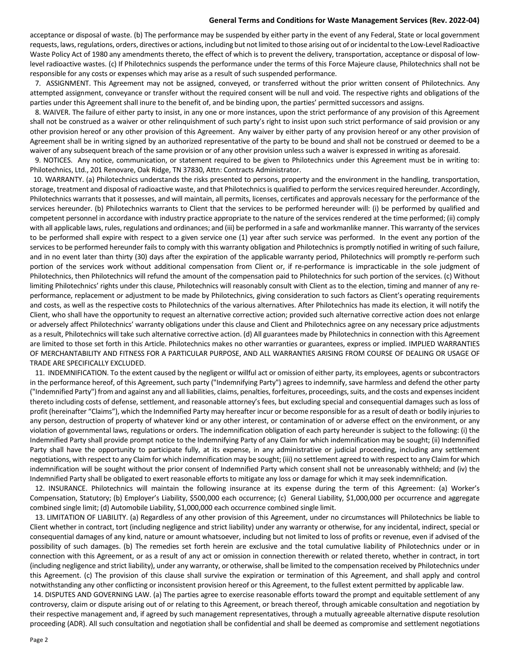## **General Terms and Conditions for Waste Management Services (Rev. 2022-04)**

acceptance or disposal of waste. (b) The performance may be suspended by either party in the event of any Federal, State or local government requests, laws, regulations, orders, directives or actions, including but not limited to those arising out of or incidental to the Low-Level Radioactive Waste Policy Act of 1980 any amendments thereto, the effect of which is to prevent the delivery, transportation, acceptance or disposal of lowlevel radioactive wastes. (c) If Philotechnics suspends the performance under the terms of this Force Majeure clause, Philotechnics shall not be responsible for any costs or expenses which may arise as a result of such suspended performance.

 7. ASSIGNMENT. This Agreement may not be assigned, conveyed, or transferred without the prior written consent of Philotechnics. Any attempted assignment, conveyance or transfer without the required consent will be null and void. The respective rights and obligations of the parties under this Agreement shall inure to the benefit of, and be binding upon, the parties' permitted successors and assigns.

 8. WAIVER. The failure of either party to insist, in any one or more instances, upon the strict performance of any provision of this Agreement shall not be construed as a waiver or other relinquishment of such party's right to insist upon such strict performance of said provision or any other provision hereof or any other provision of this Agreement. Any waiver by either party of any provision hereof or any other provision of Agreement shall be in writing signed by an authorized representative of the party to be bound and shall not be construed or deemed to be a waiver of any subsequent breach of the same provision or of any other provision unless such a waiver is expressed in writing as aforesaid.

 9. NOTICES. Any notice, communication, or statement required to be given to Philotechnics under this Agreement must be in writing to: Philotechnics, Ltd., 201 Renovare, Oak Ridge, TN 37830, Attn: Contracts Administrator.

 10. WARRANTY. (a) Philotechnics understands the risks presented to persons, property and the environment in the handling, transportation, storage, treatment and disposal of radioactive waste, and that Philotechnics is qualified to perform the services required hereunder. Accordingly, Philotechnics warrants that it possesses, and will maintain, all permits, licenses, certificates and approvals necessary for the performance of the services hereunder. (b) Philotechnics warrants to Client that the services to be performed hereunder will: (i) be performed by qualified and competent personnel in accordance with industry practice appropriate to the nature of the services rendered at the time performed; (ii) comply with all applicable laws, rules, regulations and ordinances; and (iii) be performed in a safe and workmanlike manner. This warranty of the services to be performed shall expire with respect to a given service one (1) year after such service was performed. In the event any portion of the services to be performed hereunder fails to comply with this warranty obligation and Philotechnics is promptly notified in writing of such failure, and in no event later than thirty (30) days after the expiration of the applicable warranty period, Philotechnics will promptly re-perform such portion of the services work without additional compensation from Client or, if re-performance is impracticable in the sole judgment of Philotechnics, then Philotechnics will refund the amount of the compensation paid to Philotechnics for such portion of the services. (c) Without limiting Philotechnics' rights under this clause, Philotechnics will reasonably consult with Client as to the election, timing and manner of any reperformance, replacement or adjustment to be made by Philotechnics, giving consideration to such factors as Client's operating requirements and costs, as well as the respective costs to Philotechnics of the various alternatives. After Philotechnics has made its election, it will notify the Client, who shall have the opportunity to request an alternative corrective action; provided such alternative corrective action does not enlarge or adversely affect Philotechnics' warranty obligations under this clause and Client and Philotechnics agree on any necessary price adjustments as a result, Philotechnics will take such alternative corrective action. (d) All guarantees made by Philotechnics in connection with this Agreement are limited to those set forth in this Article. Philotechnics makes no other warranties or guarantees, express or implied. IMPLIED WARRANTIES OF MERCHANTABILITY AND FITNESS FOR A PARTICULAR PURPOSE, AND ALL WARRANTIES ARISING FROM COURSE OF DEALING OR USAGE OF TRADE ARE SPECIFICALLY EXCLUDED.

 11. INDEMNIFICATION. To the extent caused by the negligent or willful act or omission of either party, its employees, agents or subcontractors in the performance hereof, of this Agreement, such party ("Indemnifying Party") agrees to indemnify, save harmless and defend the other party ("Indemnified Party") from and against any and all liabilities, claims, penalties, forfeitures, proceedings, suits, and the costs and expenses incident thereto including costs of defense, settlement, and reasonable attorney's fees, but excluding special and consequential damages such as loss of profit (hereinafter "Claims"), which the Indemnified Party may hereafter incur or become responsible for as a result of death or bodily injuries to any person, destruction of property of whatever kind or any other interest, or contamination of or adverse effect on the environment, or any violation of governmental laws, regulations or orders. The indemnification obligation of each party hereunder is subject to the following: (i) the Indemnified Party shall provide prompt notice to the Indemnifying Party of any Claim for which indemnification may be sought; (ii) Indemnified Party shall have the opportunity to participate fully, at its expense, in any administrative or judicial proceeding, including any settlement negotiations, with respect to any Claim for which indemnification may be sought; (iii) no settlement agreed to with respect to any Claim for which indemnification will be sought without the prior consent of Indemnified Party which consent shall not be unreasonably withheld; and (iv) the Indemnified Party shall be obligated to exert reasonable efforts to mitigate any loss or damage for which it may seek indemnification.

 12. INSURANCE. Philotechnics will maintain the following insurance at its expense during the term of this Agreement: (a) Worker's Compensation, Statutory; (b) Employer's Liability, \$500,000 each occurrence; (c) General Liability, \$1,000,000 per occurrence and aggregate combined single limit; (d) Automobile Liability, \$1,000,000 each occurrence combined single limit.

 13. LIMITATION OF LIABILITY. (a) Regardless of any other provision of this Agreement, under no circumstances will Philotechnics be liable to Client whether in contract, tort (including negligence and strict liability) under any warranty or otherwise, for any incidental, indirect, special or consequential damages of any kind, nature or amount whatsoever, including but not limited to loss of profits or revenue, even if advised of the possibility of such damages. (b) The remedies set forth herein are exclusive and the total cumulative liability of Philotechnics under or in connection with this Agreement, or as a result of any act or omission in connection therewith or related thereto, whether in contract, in tort (including negligence and strict liability), under any warranty, or otherwise, shall be limited to the compensation received by Philotechnics under this Agreement. (c) The provision of this clause shall survive the expiration or termination of this Agreement, and shall apply and control notwithstanding any other conflicting or inconsistent provision hereof or this Agreement, to the fullest extent permitted by applicable law.

 14. DISPUTES AND GOVERNING LAW. (a) The parties agree to exercise reasonable efforts toward the prompt and equitable settlement of any controversy, claim or dispute arising out of or relating to this Agreement, or breach thereof, through amicable consultation and negotiation by their respective management and, if agreed by such management representatives, through a mutually agreeable alternative dispute resolution proceeding (ADR). All such consultation and negotiation shall be confidential and shall be deemed as compromise and settlement negotiations